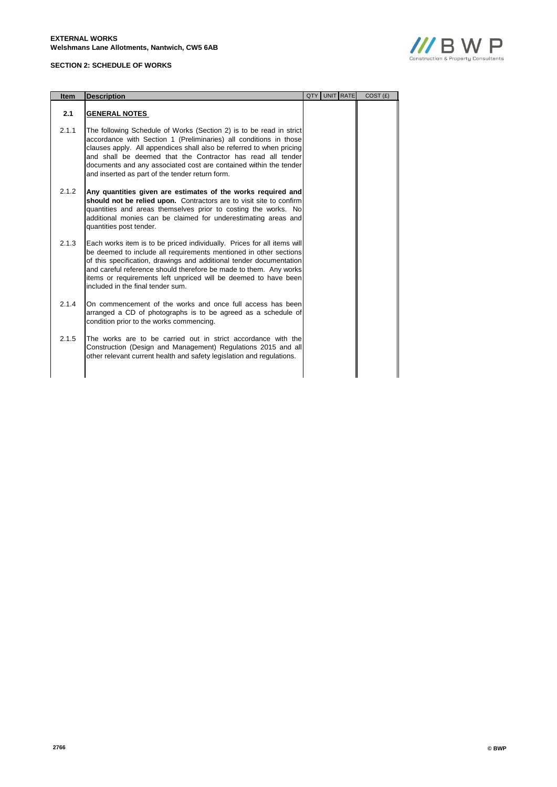## **SECTION 2: SCHEDULE OF WORKS**



| <b>Item</b> | <b>Description</b>                                                                                                                                                                                                                                                                                                                                                                                      | QTY | UNIT RATE | COST(E) |
|-------------|---------------------------------------------------------------------------------------------------------------------------------------------------------------------------------------------------------------------------------------------------------------------------------------------------------------------------------------------------------------------------------------------------------|-----|-----------|---------|
| 2.1         | <b>GENERAL NOTES</b>                                                                                                                                                                                                                                                                                                                                                                                    |     |           |         |
| 2.1.1       | The following Schedule of Works (Section 2) is to be read in strict<br>accordance with Section 1 (Preliminaries) all conditions in those<br>clauses apply. All appendices shall also be referred to when pricing<br>and shall be deemed that the Contractor has read all tender<br>documents and any associated cost are contained within the tender<br>and inserted as part of the tender return form. |     |           |         |
| 2.1.2       | Any quantities given are estimates of the works required and<br>should not be relied upon. Contractors are to visit site to confirm<br>quantities and areas themselves prior to costing the works. No<br>additional monies can be claimed for underestimating areas and<br>quantities post tender.                                                                                                      |     |           |         |
| 2.1.3       | Each works item is to be priced individually. Prices for all items will<br>be deemed to include all requirements mentioned in other sections<br>of this specification, drawings and additional tender documentation<br>and careful reference should therefore be made to them. Any works<br>items or requirements left unpriced will be deemed to have been<br>included in the final tender sum.        |     |           |         |
| 2.1.4       | On commencement of the works and once full access has been<br>arranged a CD of photographs is to be agreed as a schedule of<br>condition prior to the works commencing.                                                                                                                                                                                                                                 |     |           |         |
| 2.1.5       | The works are to be carried out in strict accordance with the<br>Construction (Design and Management) Regulations 2015 and all<br>other relevant current health and safety legislation and regulations.                                                                                                                                                                                                 |     |           |         |